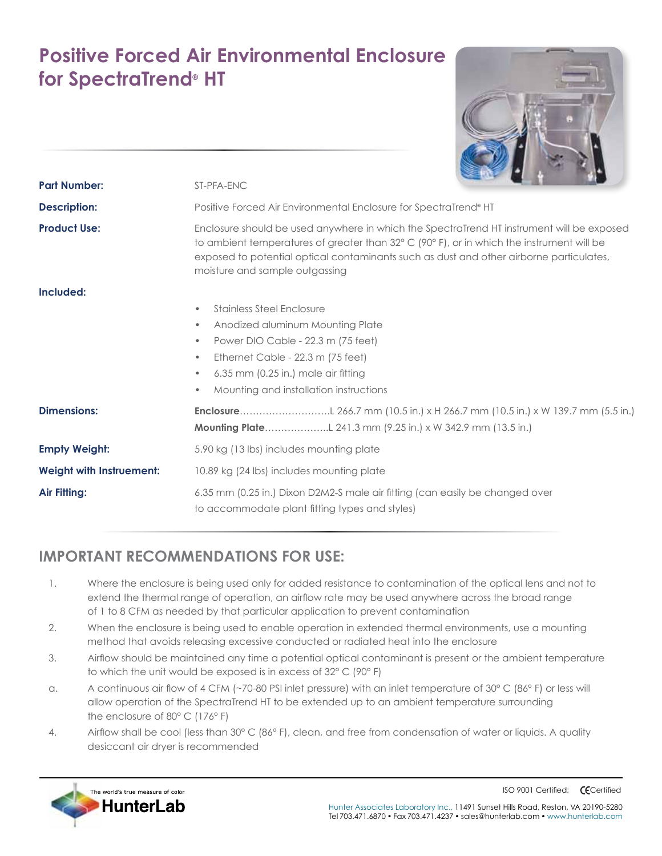## **Positive Forced Air Environmental Enclosure for SpectraTrend® HT**

| <b>Part Number:</b>      | ST-PFA-ENC                                                                                                                                                                                                                                                                                                                  |
|--------------------------|-----------------------------------------------------------------------------------------------------------------------------------------------------------------------------------------------------------------------------------------------------------------------------------------------------------------------------|
| <b>Description:</b>      | Positive Forced Air Environmental Enclosure for SpectraTrend® HT                                                                                                                                                                                                                                                            |
| <b>Product Use:</b>      | Enclosure should be used anywhere in which the SpectraTrend HT instrument will be exposed<br>to ambient temperatures of greater than $32^{\circ}$ C (90°F), or in which the instrument will be<br>exposed to potential optical contaminants such as dust and other airborne particulates,<br>moisture and sample outgassing |
| Included:                | <b>Stainless Steel Enclosure</b><br>٠<br>Anodized aluminum Mounting Plate<br>۰<br>Power DIO Cable - 22.3 m (75 feet)<br>$\bullet$<br>Ethernet Cable - 22.3 m (75 feet)<br>$\bullet$<br>6.35 mm (0.25 in.) male air fitting<br>۰<br>Mounting and installation instructions<br>٠                                              |
| <b>Dimensions:</b>       |                                                                                                                                                                                                                                                                                                                             |
| <b>Empty Weight:</b>     | 5.90 kg (13 lbs) includes mounting plate                                                                                                                                                                                                                                                                                    |
| Weight with Instruement: | 10.89 kg (24 lbs) includes mounting plate                                                                                                                                                                                                                                                                                   |
| Air Fitting:             | 6.35 mm (0.25 in.) Dixon D2M2-S male air fitting (can easily be changed over<br>to accommodate plant fitting types and styles)                                                                                                                                                                                              |

## **IMPORTANT RECOMMENDATIONS FOR USE:**

- 1. Where the enclosure is being used only for added resistance to contamination of the optical lens and not to extend the thermal range of operation, an airflow rate may be used anywhere across the broad range of 1 to 8 CFM as needed by that particular application to prevent contamination
- 2. When the enclosure is being used to enable operation in extended thermal environments, use a mounting method that avoids releasing excessive conducted or radiated heat into the enclosure
- 3. Airflow should be maintained any time a potential optical contaminant is present or the ambient temperature to which the unit would be exposed is in excess of 32° C (90° F)
- a. A continuous air flow of 4 CFM (~70-80 PSI inlet pressure) with an inlet temperature of 30° C (86° F) or less will allow operation of the SpectraTrend HT to be extended up to an ambient temperature surrounding the enclosure of 80° C (176° F)
- 4. Airflow shall be cool (less than 30° C (86° F), clean, and free from condensation of water or liquids. A quality desiccant air dryer is recommended



ISO 9001 Certified; **CECertified**